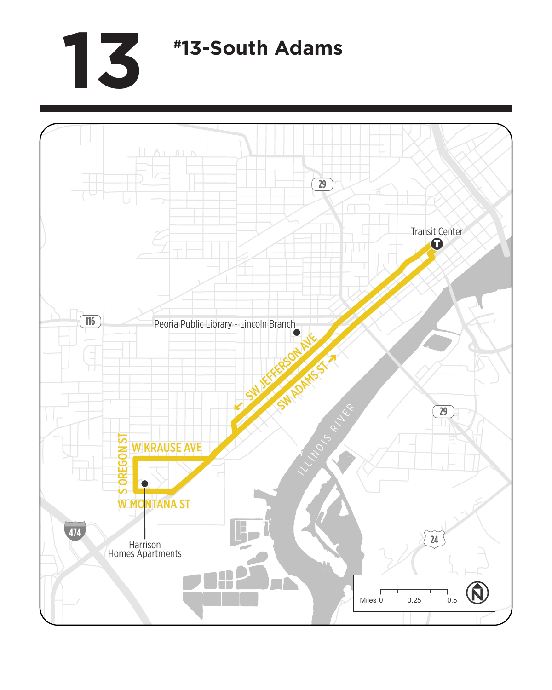## **13 #13-South Adams**